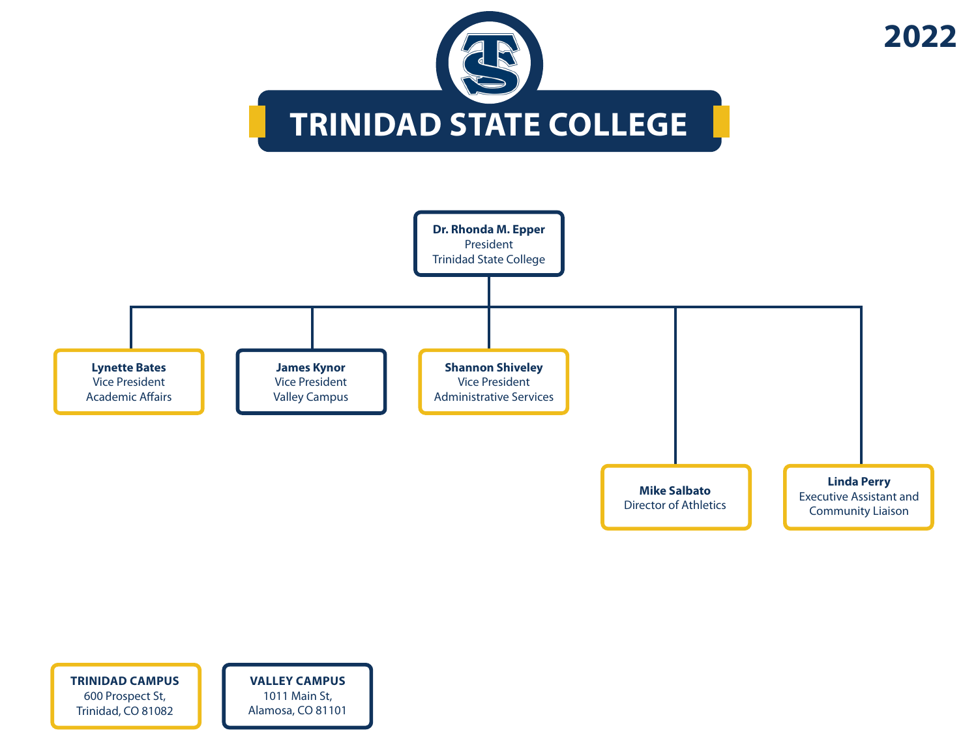



**TRINIDAD CAMPUS** 600 Prospect St, Trinidad, CO 81082

**VALLEY CAMPUS** 1011 Main St, Alamosa, CO 81101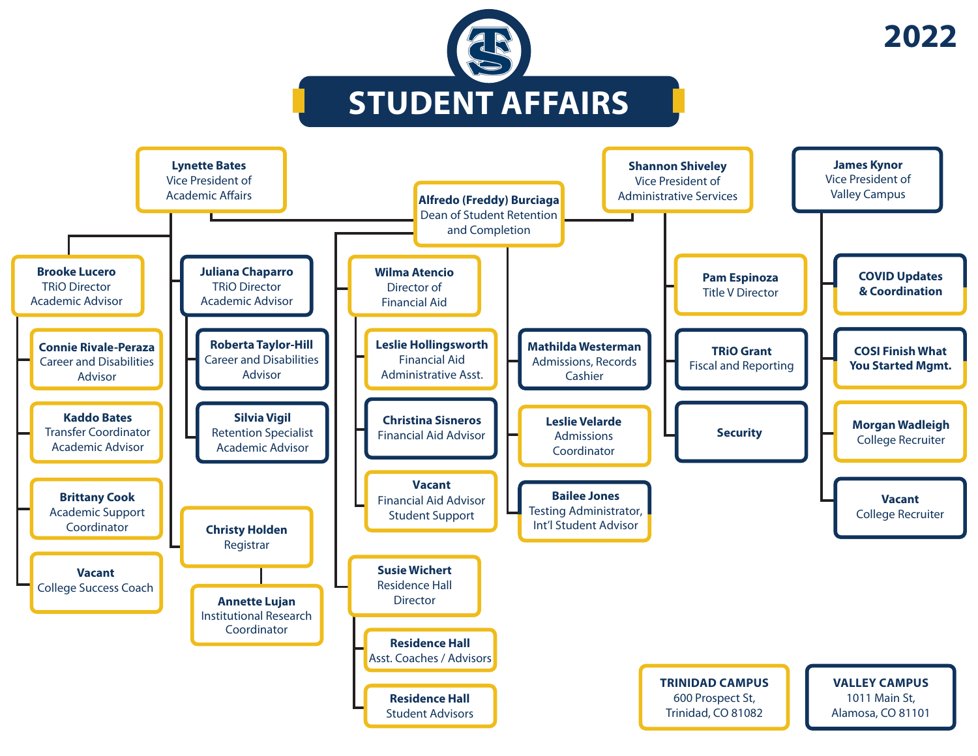

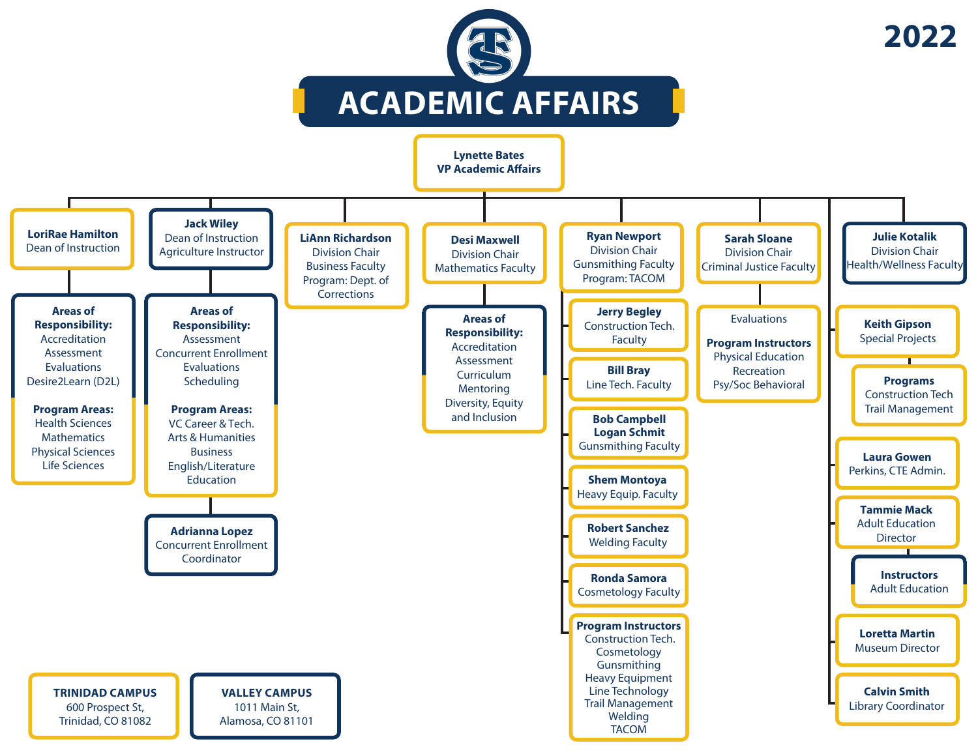

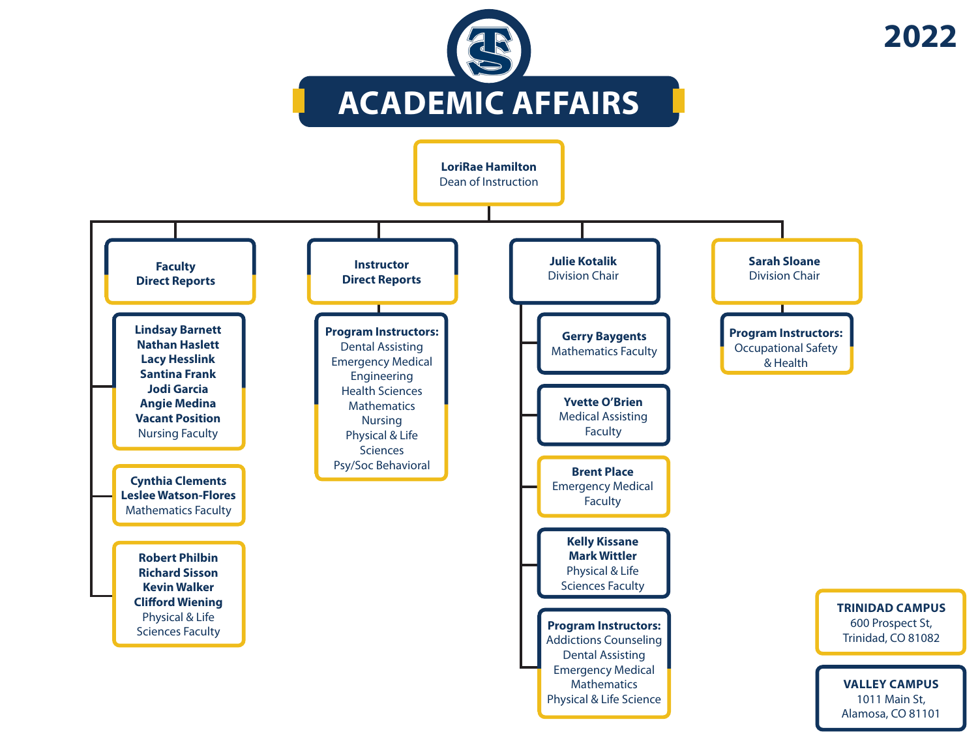

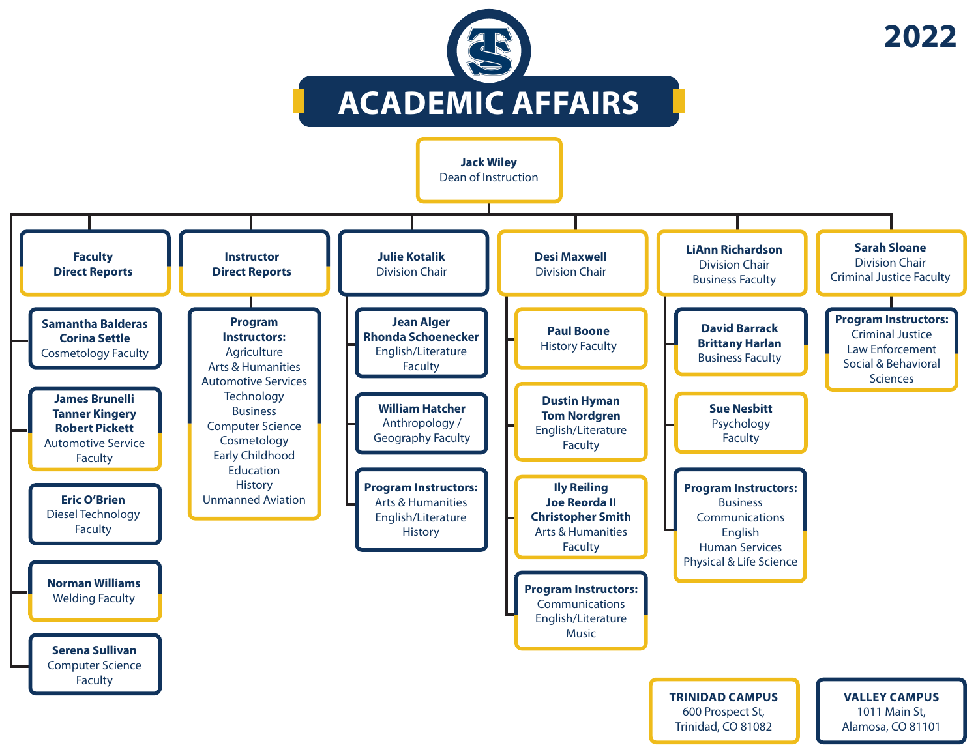



Alamosa, CO 81101

Trinidad, CO 81082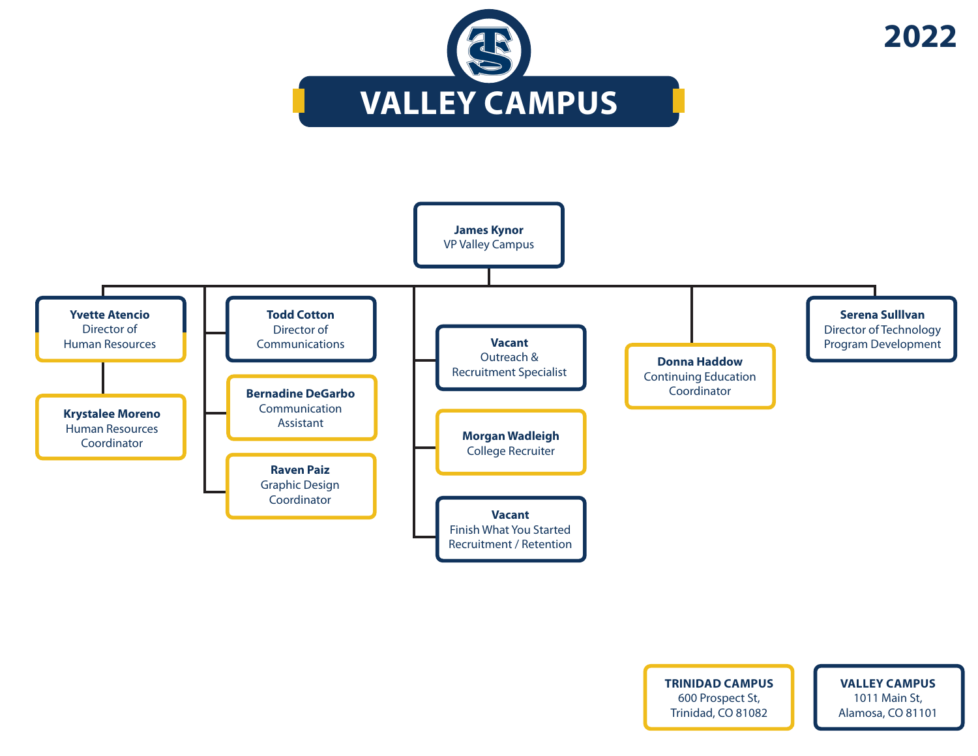



**TRINIDAD CAMPUS** 600 Prospect St, Trinidad, CO 81082

## **VALLEY CAMPUS** 1011 Main St, Alamosa, CO 81101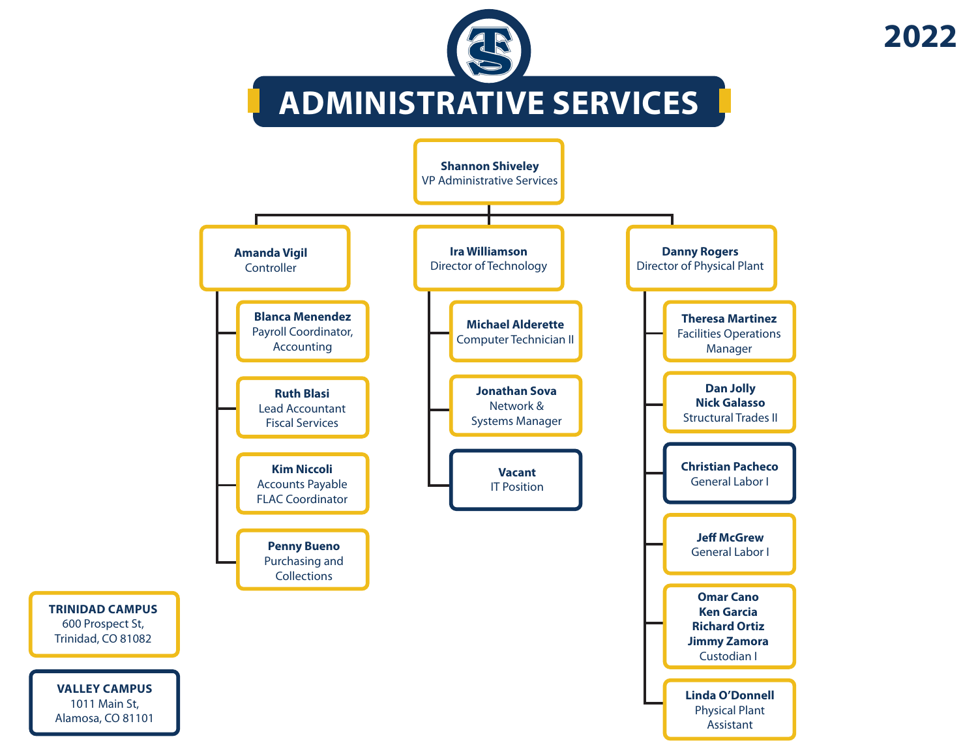